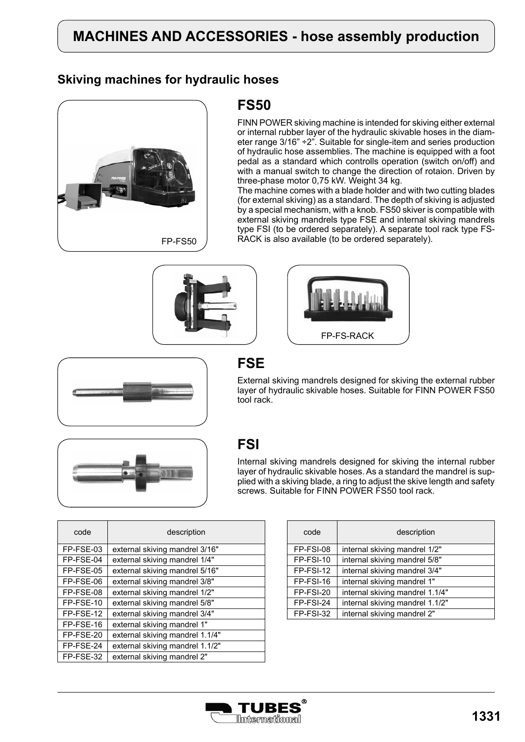# **MACHINES AND ACCESSORIES - hose assembly production**

### **Skiving machines for hydraulic hoses**



### **FS50**

FINN POWER skiving machine is intended for skiving either external or internal rubber layer of the hydraulic skivable hoses in the diameter range  $3/16$ " ÷2". Suitable for single-item and series production of hydraulic hose assemblies. The machine is equipped with a foot pedal as a standard which controlls operation (switch on/off) and with a manual switch to change the direction of rotaion. Driven by three-phase motor 0,75 kW. Weight 34 kg.

The machine comes with a blade holder and with two cutting blades (for external skiving) as a standard. The depth of skiving is adjusted by a special mechanism, with a knob. FS50 skiver is compatible with external skiving mandrels type FSE and internal skiving mandrels type FSI (to be ordered separately). A separate tool rack type FS-RACK is also available (to be ordered separately).







## **FSE**

External skiving mandrels designed for skiving the external rubber layer of hydraulic skivable hoses. Suitable for FINN POWER FS50 tool rack.



## **FSI**

Internal skiving mandrels designed for skiving the internal rubber layer of hydraulic skivable hoses. As a standard the mandrel is supplied with a skiving blade, a ring to adjust the skive length and safety screws. Suitable for FINN POWER FS50 tool rack.

| code      | description                     |
|-----------|---------------------------------|
| FP-FSE-03 | external skiving mandrel 3/16"  |
| FP-FSE-04 | external skiving mandrel 1/4"   |
| FP-FSE-05 | external skiving mandrel 5/16"  |
| FP-FSE-06 | external skiving mandrel 3/8"   |
| FP-FSE-08 | external skiving mandrel 1/2"   |
| FP-FSE-10 | external skiving mandrel 5/8"   |
| FP-FSE-12 | external skiving mandrel 3/4"   |
| FP-FSE-16 | external skiving mandrel 1"     |
| FP-FSE-20 | external skiving mandrel 1.1/4" |
| FP-FSE-24 | external skiving mandrel 1.1/2" |
| FP-FSE-32 | external skiving mandrel 2"     |

| code        | description                     |
|-------------|---------------------------------|
| FP-FSI-08   | internal skiving mandrel 1/2"   |
| $FP-FSI-10$ | internal skiving mandrel 5/8"   |
| FP-FSI-12   | internal skiving mandrel 3/4"   |
| FP-FSI-16   | internal skiving mandrel 1"     |
| FP-FSI-20   | internal skiving mandrel 1.1/4" |
| FP-FSI-24   | internal skiving mandrel 1.1/2" |
| FP-FSI-32   | internal skiving mandrel 2"     |

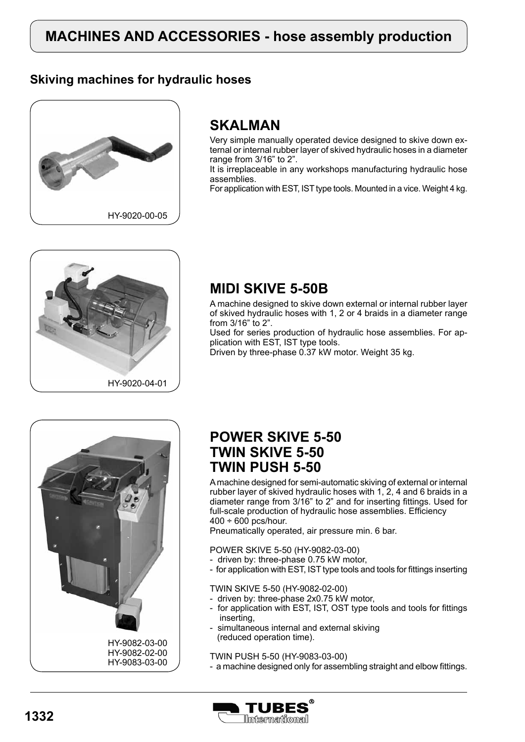# **MACHINES AND ACCESSORIES - hose assembly production**

### **Skiving machines for hydraulic hoses**



### **SKALMAN**

Very simple manually operated device designed to skive down external or internal rubber layer of skived hydraulic hoses in a diameter range from 3/16" to 2".

It is irreplaceable in any workshops manufacturing hydraulic hose assemblies.

For application with EST, IST type tools. Mounted in a vice. Weight 4 kg.



## **MIDI SKIVE 5-50B**

A machine designed to skive down external or internal rubber layer of skived hydraulic hoses with 1, 2 or 4 braids in a diameter range from 3/16" to 2".

Used for series production of hydraulic hose assemblies. For application with EST, IST type tools.

Driven by three-phase 0.37 kW motor. Weight 35 kg.



## **POWER SKIVE 5-50 TWIN SKIVE 5-50 TWIN PUSH 5-50**

A machine designed for semi-automatic skiving of external or internal rubber layer of skived hydraulic hoses with 1, 2, 4 and 6 braids in a diameter range from 3/16" to 2" and for inserting fittings. Used for full-scale production of hydraulic hose assemblies. Efficiency  $400 \div 600$  pcs/hour.

Pneumatically operated, air pressure min. 6 bar.

POWER SKIVE 5-50 (HY-9082-03-00)

- driven by: three-phase 0.75 kW motor,
- for application with EST, IST type tools and tools for fittings inserting

TWIN SKIVE 5-50 (HY-9082-02-00)

- driven by: three-phase 2x0.75 kW motor,
- for application with EST, IST, OST type tools and tools for fittings inserting,
- simultaneous internal and external skiving (reduced operation time).

TWIN PUSH 5-50 (HY-9083-03-00)

- a machine designed only for assembling straight and elbow fittings.